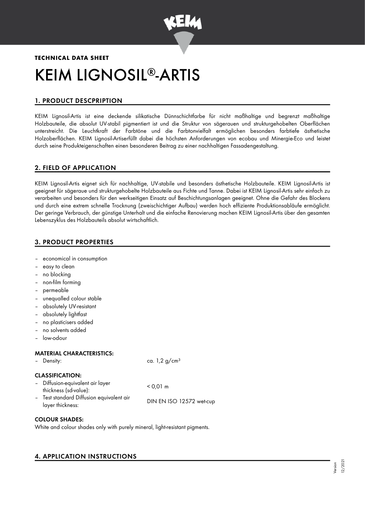

# **TECHNICAL DATA SHEET** KEIM LIGNOSIL®-ARTIS

# 1. PRODUCT DESCPRIPTION

KEIM Lignosil-Artis ist eine deckende silikatische Dünnschichtfarbe für nicht maßhaltige und begrenzt maßhaltige Holzbauteile, die absolut UV-stabil pigmentiert ist und die Struktur von sägerauen und strukturgehobelten Oberflächen unterstreicht. Die Leuchtkraft der Farbtöne und die Farbtonvielfalt ermöglichen besonders farbtiefe ästhetische Holzoberflächen. KEIM Lignosil-Artiserfüllt dabei die höchsten Anforderungen von ecobau und Minergie-Eco und leistet durch seine Produkteigenschaften einen besonderen Beitrag zu einer nachhaltigen Fassadengestaltung.

# 2. FIELD OF APPLICATION

KEIM Lignosil-Artis eignet sich für nachhaltige, UV-stabile und besonders ästhetische Holzbauteile. KEIM Lignosil-Artis ist geeignet für sägeraue und strukturgehobelte Holzbauteile aus Fichte und Tanne. Dabei ist KEIM Lignosil-Artis sehr einfach zu verarbeiten und besonders für den werkseitigen Einsatz auf Beschichtungsanlagen geeignet. Ohne die Gefahr des Blockens und durch eine extrem schnelle Trocknung (zweischichtiger Aufbau) werden hoch effiziente Produktionsabläufe ermöglicht. Der geringe Verbrauch, der günstige Unterhalt und die einfache Renovierung machen KEIM Lignosil-Artis über den gesamten Lebenszyklus des Holzbauteils absolut wirtschaftlich.

# 3. PRODUCT PROPERTIES

– economical in consumption

– easy to clean

|                          | - no blocking                                                |                             |
|--------------------------|--------------------------------------------------------------|-----------------------------|
|                          | non-film forming                                             |                             |
|                          | permeable                                                    |                             |
|                          | unequalled colour stable                                     |                             |
|                          | absolutely UV-resistant                                      |                             |
|                          | absolutely lightfast                                         |                             |
| $\overline{\phantom{a}}$ | no plasticisers added                                        |                             |
|                          | - no solvents added                                          |                             |
|                          | low-odour                                                    |                             |
|                          | <b>MATERIAL CHARACTERISTICS:</b>                             |                             |
|                          | Density:                                                     | ca. $1,2$ g/cm <sup>3</sup> |
|                          | <b>CLASSIFICATION:</b>                                       |                             |
|                          | Diffusion-equivalent air layer<br>thickness (sd-value):      | $< 0.01 \; m$               |
|                          | - Test standard Diffusion equivalent air<br>layer thickness: | DIN EN ISO 12572 wet-cup    |
|                          |                                                              |                             |

# COLOUR SHADES:

White and colour shades only with purely mineral, light-resistant pigments.

# 4. APPLICATION INSTRUCTIONS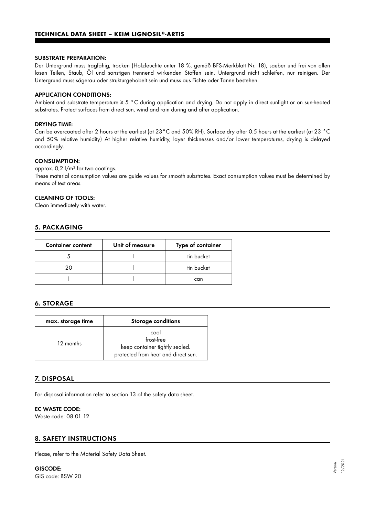#### SUBSTRATE PREPARATION:

Der Untergrund muss tragfähig, trocken (Holzfeuchte unter 18 %, gemäß BFS-Merkblatt Nr. 18), sauber und frei von allen losen Teilen, Staub, Öl und sonstigen trennend wirkenden Stoffen sein. Untergrund nicht schleifen, nur reinigen. Der Untergrund muss sägerau oder strukturgehobelt sein und muss aus Fichte oder Tanne bestehen.

#### APPLICATION CONDITIONS:

Ambient and substrate temperature ≥ 5 °C during application and drying. Do not apply in direct sunlight or on sun-heated substrates. Protect surfaces from direct sun, wind and rain during and after application.

#### DRYING TIME:

Can be overcoated after 2 hours at the earliest (at 23°C and 50% RH). Surface dry after 0.5 hours at the earliest (at 23 °C and 50% relative humidity) At higher relative humidity, layer thicknesses and/or lower temperatures, drying is delayed accordingly.

#### CONSUMPTION:

approx.  $0.2$   $1/m^2$  for two coatings.

These material consumption values are guide values for smooth substrates. Exact consumption values must be determined by means of test areas.

#### CLEANING OF TOOLS:

Clean immediately with water.

# 5. PACKAGING

| <b>Container content</b> | Unit of measure | Type of container |
|--------------------------|-----------------|-------------------|
|                          |                 | tin bucket        |
| 20                       |                 | tin bucket        |
|                          |                 | can               |

# 6. STORAGE

| max. storage time | <b>Storage conditions</b>                                                                   |
|-------------------|---------------------------------------------------------------------------------------------|
| 12 months         | cool<br>frost-free<br>keep container tightly sealed.<br>protected from heat and direct sun. |

# 7. DISPOSAL

For disposal information refer to section 13 of the safety data sheet.

#### EC WASTE CODE:

Waste code: 08 01 12

# 8. SAFETY INSTRUCTIONS

Please, refer to the Material Safety Data Sheet.